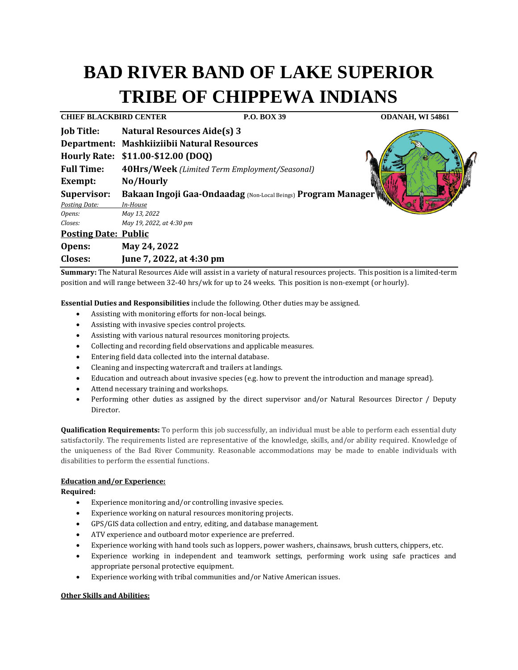# **BAD RIVER BAND OF LAKE SUPERIOR TRIBE OF CHIPPEWA INDIANS**

**CHIEF BLACKBIRD CENTER P.O. BOX 39 ODANAH, WI 54861 Job Title: Natural Resources Aide(s) 3 Department: Mashkiiziibii Natural Resources Hourly Rate: \$11.00-\$12.00 (DOQ) Full Time: 40Hrs/Week** *(Limited Term Employment/Seasonal)* **Exempt: No/Hourly Supervisor: Bakaan Ingoji Gaa-Ondaadag** (Non-Local Beings) **Program Manager** *Posting Date: In-House Opens: May 13, 2022 Closes: May 19, 2022, at 4:30 pm* **Posting Date: Public Opens: May 24, 2022 Closes: June 7, 2022, at 4:30 pm**

**Summary:** The Natural Resources Aide will assist in a variety of natural resources projects. This position is a limited-term position and will range between 32-40 hrs/wk for up to 24 weeks. This position is non-exempt (or hourly).

**Essential Duties and Responsibilities** include the following. Other duties may be assigned.

- Assisting with monitoring efforts for non-local beings.
- Assisting with invasive species control projects.
- Assisting with various natural resources monitoring projects.
- Collecting and recording field observations and applicable measures.
- Entering field data collected into the internal database.
- Cleaning and inspecting watercraft and trailers at landings.
- Education and outreach about invasive species (e.g. how to prevent the introduction and manage spread).
- Attend necessary training and workshops.
- Performing other duties as assigned by the direct supervisor and/or Natural Resources Director / Deputy Director.

**Qualification Requirements:** To perform this job successfully, an individual must be able to perform each essential duty satisfactorily. The requirements listed are representative of the knowledge, skills, and/or ability required. Knowledge of the uniqueness of the Bad River Community. Reasonable accommodations may be made to enable individuals with disabilities to perform the essential functions.

# **Education and/or Experience:**

**Required:**

- Experience monitoring and/or controlling invasive species.
- Experience working on natural resources monitoring projects.
- GPS/GIS data collection and entry, editing, and database management.
- ATV experience and outboard motor experience are preferred.
- Experience working with hand tools such as loppers, power washers, chainsaws, brush cutters, chippers, etc.
- Experience working in independent and teamwork settings, performing work using safe practices and appropriate personal protective equipment.
- Experience working with tribal communities and/or Native American issues.

## **Other Skills and Abilities:**